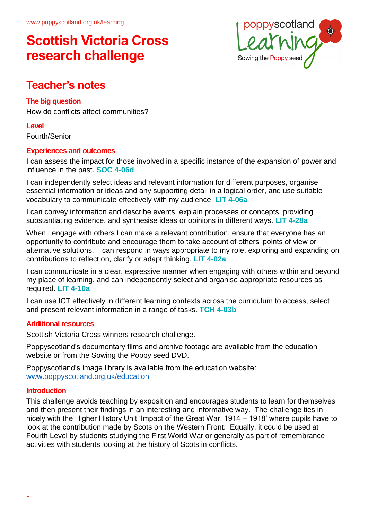

### **Teacher's notes**

### **The big question**

How do conflicts affect communities?

**Level**

Fourth/Senior

### **Experiences and outcomes**

I can assess the impact for those involved in a specific instance of the expansion of power and influence in the past. **SOC 4-06d**

I can independently select ideas and relevant information for different purposes, organise essential information or ideas and any supporting detail in a logical order, and use suitable vocabulary to communicate effectively with my audience. **LIT 4-06a**

I can convey information and describe events, explain processes or concepts, providing substantiating evidence, and synthesise ideas or opinions in different ways. **LIT 4-28a**

When I engage with others I can make a relevant contribution, ensure that everyone has an opportunity to contribute and encourage them to take account of others' points of view or alternative solutions. I can respond in ways appropriate to my role, exploring and expanding on contributions to reflect on, clarify or adapt thinking. **LIT 4-02a**

I can communicate in a clear, expressive manner when engaging with others within and beyond my place of learning, and can independently select and organise appropriate resources as required. **LIT 4-10a**

I can use ICT effectively in different learning contexts across the curriculum to access, select and present relevant information in a range of tasks. **TCH 4-03b**

### **Additional resources**

Scottish Victoria Cross winners research challenge.

Poppyscotland's documentary films and archive footage are available from the education website or from the Sowing the Poppy seed DVD.

Poppyscotland's image library is available from the education website: [www.poppyscotland.org.uk/education](http://www.poppyscotland.org.uk/education)

### **Introduction**

This challenge avoids teaching by exposition and encourages students to learn for themselves and then present their findings in an interesting and informative way. The challenge ties in nicely with the Higher History Unit 'Impact of the Great War, 1914 – 1918' where pupils have to look at the contribution made by Scots on the Western Front. Equally, it could be used at Fourth Level by students studying the First World War or generally as part of remembrance activities with students looking at the history of Scots in conflicts.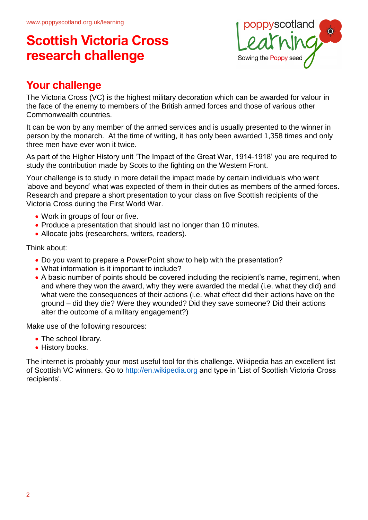

## **Your challenge**

The Victoria Cross (VC) is the highest military decoration which can be awarded for valour in the face of the enemy to members of the British armed forces and those of various other Commonwealth countries.

It can be won by any member of the armed services and is usually presented to the winner in person by the monarch. At the time of writing, it has only been awarded 1,358 times and only three men have ever won it twice.

As part of the Higher History unit 'The Impact of the Great War, 1914-1918' you are required to study the contribution made by Scots to the fighting on the Western Front.

Your challenge is to study in more detail the impact made by certain individuals who went 'above and beyond' what was expected of them in their duties as members of the armed forces. Research and prepare a short presentation to your class on five Scottish recipients of the Victoria Cross during the First World War.

- Work in groups of four or five.
- Produce a presentation that should last no longer than 10 minutes.
- Allocate jobs (researchers, writers, readers).

Think about:

- Do you want to prepare a PowerPoint show to help with the presentation?
- What information is it important to include?
- A basic number of points should be covered including the recipient's name, regiment, when and where they won the award, why they were awarded the medal (i.e. what they did) and what were the consequences of their actions (i.e. what effect did their actions have on the ground – did they die? Were they wounded? Did they save someone? Did their actions alter the outcome of a military engagement?)

Make use of the following resources:

- The school library.
- History books.

The internet is probably your most useful tool for this challenge. Wikipedia has an excellent list of Scottish VC winners. Go to [http://en.wikipedia.org](http://en.wikipedia.orgen.wikipedia.org/) and type in 'List of Scottish Victoria Cross recipients'.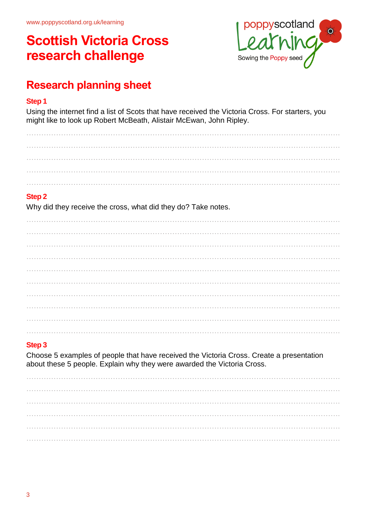

## **Research planning sheet**

#### **Step 1**

Using the internet find a list of Scots that have received the Victoria Cross. For starters, you might like to look up Robert McBeath, Alistair McEwan, John Ripley.

………………………………………………………………………………………………………………. ………………………………………………………………………………………………………………. ………………………………………………………………………………………………………………. ………………………………………………………………………………………………………………. ……………………………………………………………………………………………………………….

### **Step 2**

Why did they receive the cross, what did they do? Take notes.

………………………………………………………………………………………………………………. ………………………………………………………………………………………………………………. ………………………………………………………………………………………………………………. ………………………………………………………………………………………………………………. ………………………………………………………………………………………………………………. ………………………………………………………………………………………………………………. ………………………………………………………………………………………………………………. ………………………………………………………………………………………………………………. ………………………………………………………………………………………………………………. ……………………………………………………………………………………………………………….

### **Step 3**

Choose 5 examples of people that have received the Victoria Cross. Create a presentation about these 5 people. Explain why they were awarded the Victoria Cross.

………………………………………………………………………………………………………………. ………………………………………………………………………………………………………………. ………………………………………………………………………………………………………………. ………………………………………………………………………………………………………………. ………………………………………………………………………………………………………………. ……………………………………………………………………………………………………………….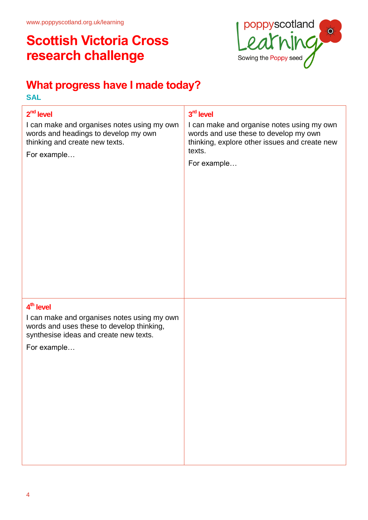## **What progress have I made today?**

**SAL**